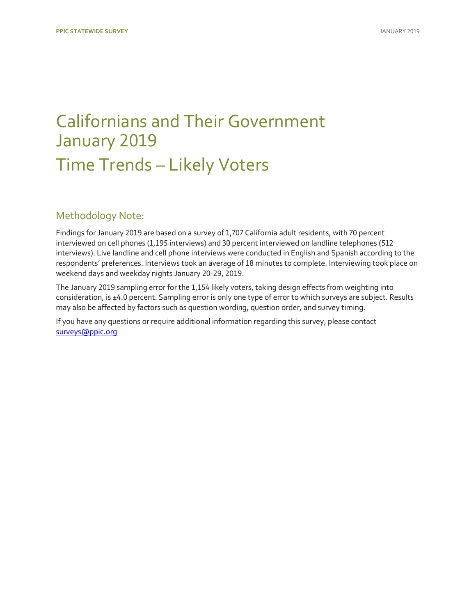## [Californians and Their Government](https://www.ppic.org/publication/ppic-statewide-survey-californians-and-their-government-january-2019/) January 2019 Time Trends – Likely Voters

### Methodology Note:

Findings for January 2019 are based on a survey of 1,707 California adult residents, with 70 percent interviewed on cell phones (1,195 interviews) and 30 percent interviewed on landline telephones (512 interviews). Live landline and cell phone interviews were conducted in English and Spanish according to the respondents' preferences. Interviews took an average of 18 minutes to complete. Interviewing took place on weekend days and weekday nights January 20-29, 2019.

The January 2019 sampling error for the 1,154 likely voters, taking design effects from weighting into consideration, is ±4.0 percent. Sampling error is only one type of error to which surveys are subject. Results may also be affected by factors such as question wording, question order, and survey timing.

If you have any questions or require additional information regarding this survey, please contact [surveys@ppic.org](mailto:surveys@ppic.org)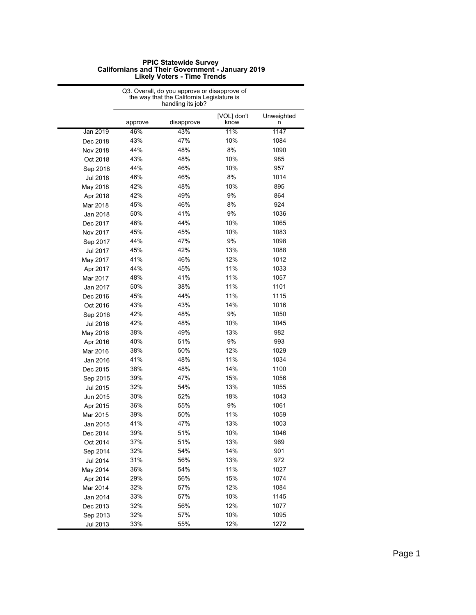| <b>PPIC Statewide Survey</b>                            |  |
|---------------------------------------------------------|--|
| <b>Californians and Their Government - January 2019</b> |  |
| <b>Likely Voters - Time Trends</b>                      |  |

|                 |         | Q3. Overall, do you approve or disapprove of<br>the way that the California Legislature is<br>handling its job? |                     |                 |
|-----------------|---------|-----------------------------------------------------------------------------------------------------------------|---------------------|-----------------|
|                 | approve | disapprove                                                                                                      | [VOL] don't<br>know | Unweighted<br>n |
| Jan 2019        | 46%     | 43%                                                                                                             | 11%                 | 1147            |
| Dec 2018        | 43%     | 47%                                                                                                             | 10%                 | 1084            |
| Nov 2018        | 44%     | 48%                                                                                                             | 8%                  | 1090            |
| Oct 2018        | 43%     | 48%                                                                                                             | 10%                 | 985             |
| Sep 2018        | 44%     | 46%                                                                                                             | 10%                 | 957             |
| Jul 2018        | 46%     | 46%                                                                                                             | 8%                  | 1014            |
| May 2018        | 42%     | 48%                                                                                                             | 10%                 | 895             |
| Apr 2018        | 42%     | 49%                                                                                                             | 9%                  | 864             |
| Mar 2018        | 45%     | 46%                                                                                                             | 8%                  | 924             |
| Jan 2018        | 50%     | 41%                                                                                                             | 9%                  | 1036            |
| Dec 2017        | 46%     | 44%                                                                                                             | 10%                 | 1065            |
| Nov 2017        | 45%     | 45%                                                                                                             | 10%                 | 1083            |
| Sep 2017        | 44%     | 47%                                                                                                             | 9%                  | 1098            |
| Jul 2017        | 45%     | 42%                                                                                                             | 13%                 | 1088            |
| May 2017        | 41%     | 46%                                                                                                             | 12%                 | 1012            |
| Apr 2017        | 44%     | 45%                                                                                                             | 11%                 | 1033            |
| Mar 2017        | 48%     | 41%                                                                                                             | 11%                 | 1057            |
| Jan 2017        | 50%     | 38%                                                                                                             | 11%                 | 1101            |
| Dec 2016        | 45%     | 44%                                                                                                             | 11%                 | 1115            |
| Oct 2016        | 43%     | 43%                                                                                                             | 14%                 | 1016            |
| Sep 2016        | 42%     | 48%                                                                                                             | 9%                  | 1050            |
| Jul 2016        | 42%     | 48%                                                                                                             | 10%                 | 1045            |
| May 2016        | 38%     | 49%                                                                                                             | 13%                 | 982             |
| Apr 2016        | 40%     | 51%                                                                                                             | 9%                  | 993             |
| Mar 2016        | 38%     | 50%                                                                                                             | 12%                 | 1029            |
| Jan 2016        | 41%     | 48%                                                                                                             | 11%                 | 1034            |
| Dec 2015        | 38%     | 48%                                                                                                             | 14%                 | 1100            |
| Sep 2015        | 39%     | 47%                                                                                                             | 15%                 | 1056            |
| <b>Jul 2015</b> | 32%     | 54%                                                                                                             | 13%                 | 1055            |
| Jun 2015        | 30%     | 52%                                                                                                             | 18%                 | 1043            |
| Apr 2015        | 36%     | 55%                                                                                                             | 9%                  | 1061            |
| Mar 2015        | 39%     | 50%                                                                                                             | 11%                 | 1059            |
| Jan 2015        | 41%     | 47%                                                                                                             | 13%                 | 1003            |
| Dec 2014        | 39%     | 51%                                                                                                             | 10%                 | 1046            |
| Oct 2014        | 37%     | 51%                                                                                                             | 13%                 | 969             |
| Sep 2014        | 32%     | 54%                                                                                                             | 14%                 | 901             |
| Jul 2014        | 31%     | 56%                                                                                                             | 13%                 | 972             |
| May 2014        | 36%     | 54%                                                                                                             | 11%                 | 1027            |
| Apr 2014        | 29%     | 56%                                                                                                             | 15%                 | 1074            |
| Mar 2014        | 32%     | 57%                                                                                                             | 12%                 | 1084            |
| Jan 2014        | 33%     | 57%                                                                                                             | 10%                 | 1145            |
| Dec 2013        | 32%     | 56%                                                                                                             | 12%                 | 1077            |
| Sep 2013        | 32%     | 57%                                                                                                             | 10%                 | 1095            |
| Jul 2013        | 33%     | 55%                                                                                                             | 12%                 | 1272            |

### **Likely Voters - Time Trends**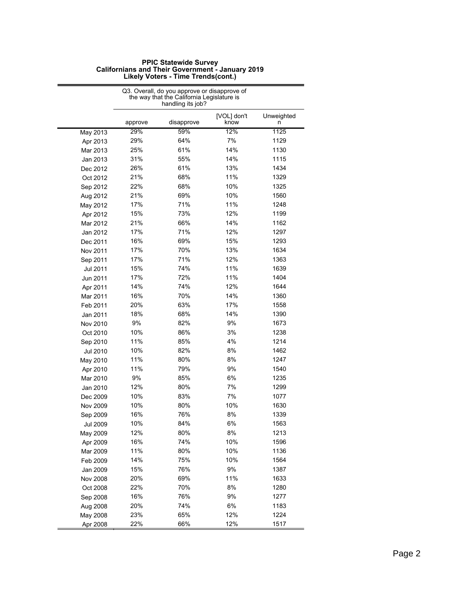|          |         | Q3. Overall, do you approve or disapprove of<br>the way that the California Legislature is<br>handling its job? |                     |                 |
|----------|---------|-----------------------------------------------------------------------------------------------------------------|---------------------|-----------------|
|          | approve | disapprove                                                                                                      | [VOL] don't<br>know | Unweighted<br>n |
| May 2013 | 29%     | 59%                                                                                                             | 12%                 | 1125            |
| Apr 2013 | 29%     | 64%                                                                                                             | 7%                  | 1129            |
| Mar 2013 | 25%     | 61%                                                                                                             | 14%                 | 1130            |
| Jan 2013 | 31%     | 55%                                                                                                             | 14%                 | 1115            |
| Dec 2012 | 26%     | 61%                                                                                                             | 13%                 | 1434            |
| Oct 2012 | 21%     | 68%                                                                                                             | 11%                 | 1329            |
| Sep 2012 | 22%     | 68%                                                                                                             | 10%                 | 1325            |
| Aug 2012 | 21%     | 69%                                                                                                             | 10%                 | 1560            |
| May 2012 | 17%     | 71%                                                                                                             | 11%                 | 1248            |
| Apr 2012 | 15%     | 73%                                                                                                             | 12%                 | 1199            |
| Mar 2012 | 21%     | 66%                                                                                                             | 14%                 | 1162            |
| Jan 2012 | 17%     | 71%                                                                                                             | 12%                 | 1297            |
| Dec 2011 | 16%     | 69%                                                                                                             | 15%                 | 1293            |
| Nov 2011 | 17%     | 70%                                                                                                             | 13%                 | 1634            |
| Sep 2011 | 17%     | 71%                                                                                                             | 12%                 | 1363            |
| Jul 2011 | 15%     | 74%                                                                                                             | 11%                 | 1639            |
| Jun 2011 | 17%     | 72%                                                                                                             | 11%                 | 1404            |
| Apr 2011 | 14%     | 74%                                                                                                             | 12%                 | 1644            |
| Mar 2011 | 16%     | 70%                                                                                                             | 14%                 | 1360            |
| Feb 2011 | 20%     | 63%                                                                                                             | 17%                 | 1558            |
| Jan 2011 | 18%     | 68%                                                                                                             | 14%                 | 1390            |
| Nov 2010 | 9%      | 82%                                                                                                             | 9%                  | 1673            |
| Oct 2010 | 10%     | 86%                                                                                                             | 3%                  | 1238            |
| Sep 2010 | 11%     | 85%                                                                                                             | 4%                  | 1214            |
| Jul 2010 | 10%     | 82%                                                                                                             | 8%                  | 1462            |
| May 2010 | 11%     | 80%                                                                                                             | 8%                  | 1247            |
| Apr 2010 | 11%     | 79%                                                                                                             | 9%                  | 1540            |
| Mar 2010 | 9%      | 85%                                                                                                             | 6%                  | 1235            |
| Jan 2010 | 12%     | 80%                                                                                                             | 7%                  | 1299            |
| Dec 2009 | 10%     | 83%                                                                                                             | 7%                  | 1077            |
| Nov 2009 | 10%     | 80%                                                                                                             | 10%                 | 1630            |
| Sep 2009 | 16%     | 76%                                                                                                             | 8%                  | 1339            |
| Jul 2009 | 10%     | 84%                                                                                                             | 6%                  | 1563            |
| May 2009 | 12%     | 80%                                                                                                             | 8%                  | 1213            |
| Apr 2009 | 16%     | 74%                                                                                                             | 10%                 | 1596            |
| Mar 2009 | 11%     | 80%                                                                                                             | 10%                 | 1136            |
| Feb 2009 | 14%     | 75%                                                                                                             | 10%                 | 1564            |
| Jan 2009 | 15%     | 76%                                                                                                             | 9%                  | 1387            |
| Nov 2008 | 20%     | 69%                                                                                                             | 11%                 | 1633            |
| Oct 2008 | 22%     | 70%                                                                                                             | 8%                  | 1280            |
| Sep 2008 | 16%     | 76%                                                                                                             | 9%                  | 1277            |
| Aug 2008 | 20%     | 74%                                                                                                             | 6%                  | 1183            |
| May 2008 | 23%     | 65%                                                                                                             | 12%                 | 1224            |
| Apr 2008 | 22%     | 66%                                                                                                             | 12%                 | 1517            |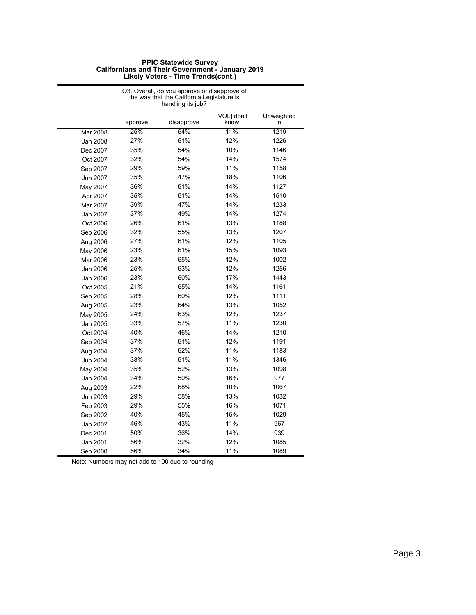|          |         | Q3. Overall, do you approve or disapprove of<br>the way that the California Legislature is<br>handling its job? |                     |                 |
|----------|---------|-----------------------------------------------------------------------------------------------------------------|---------------------|-----------------|
|          | approve | disapprove                                                                                                      | [VOL] don't<br>know | Unweighted<br>n |
| Mar 2008 | 25%     | 64%                                                                                                             | 11%                 | 1219            |
| Jan 2008 | 27%     | 61%                                                                                                             | 12%                 | 1226            |
| Dec 2007 | 35%     | 54%                                                                                                             | 10%                 | 1146            |
| Oct 2007 | 32%     | 54%                                                                                                             | 14%                 | 1574            |
| Sep 2007 | 29%     | 59%                                                                                                             | 11%                 | 1158            |
| Jun 2007 | 35%     | 47%                                                                                                             | 18%                 | 1106            |
| May 2007 | 36%     | 51%                                                                                                             | 14%                 | 1127            |
| Apr 2007 | 35%     | 51%                                                                                                             | 14%                 | 1510            |
| Mar 2007 | 39%     | 47%                                                                                                             | 14%                 | 1233            |
| Jan 2007 | 37%     | 49%                                                                                                             | 14%                 | 1274            |
| Oct 2006 | 26%     | 61%                                                                                                             | 13%                 | 1188            |
| Sep 2006 | 32%     | 55%                                                                                                             | 13%                 | 1207            |
| Aug 2006 | 27%     | 61%                                                                                                             | 12%                 | 1105            |
| May 2006 | 23%     | 61%                                                                                                             | 15%                 | 1093            |
| Mar 2006 | 23%     | 65%                                                                                                             | 12%                 | 1002            |
| Jan 2006 | 25%     | 63%                                                                                                             | 12%                 | 1256            |
| Jan 2006 | 23%     | 60%                                                                                                             | 17%                 | 1443            |
| Oct 2005 | 21%     | 65%                                                                                                             | 14%                 | 1161            |
| Sep 2005 | 28%     | 60%                                                                                                             | 12%                 | 1111            |
| Aug 2005 | 23%     | 64%                                                                                                             | 13%                 | 1052            |
| May 2005 | 24%     | 63%                                                                                                             | 12%                 | 1237            |
| Jan 2005 | 33%     | 57%                                                                                                             | 11%                 | 1230            |
| Oct 2004 | 40%     | 46%                                                                                                             | 14%                 | 1210            |
| Sep 2004 | 37%     | 51%                                                                                                             | 12%                 | 1191            |
| Aug 2004 | 37%     | 52%                                                                                                             | 11%                 | 1183            |
| Jun 2004 | 38%     | 51%                                                                                                             | 11%                 | 1346            |
| May 2004 | 35%     | 52%                                                                                                             | 13%                 | 1098            |
| Jan 2004 | 34%     | 50%                                                                                                             | 16%                 | 977             |
| Aug 2003 | 22%     | 68%                                                                                                             | 10%                 | 1067            |
| Jun 2003 | 29%     | 58%                                                                                                             | 13%                 | 1032            |
| Feb 2003 | 29%     | 55%                                                                                                             | 16%                 | 1071            |
| Sep 2002 | 40%     | 45%                                                                                                             | 15%                 | 1029            |
| Jan 2002 | 46%     | 43%                                                                                                             | 11%                 | 967             |
| Dec 2001 | 50%     | 36%                                                                                                             | 14%                 | 939             |
| Jan 2001 | 56%     | 32%                                                                                                             | 12%                 | 1085            |
| Sep 2000 | 56%     | 34%                                                                                                             | 11%                 | 1089            |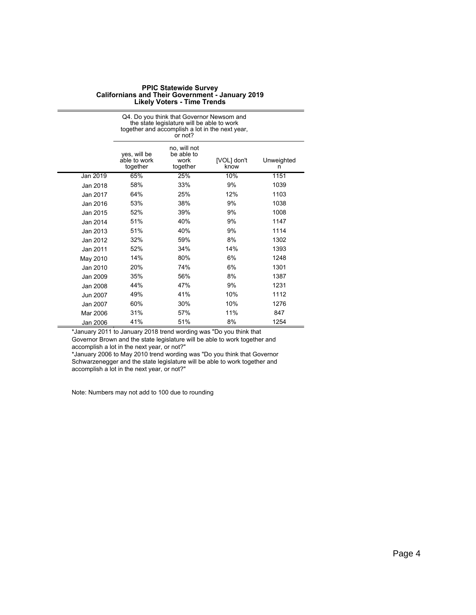|          |                                          | Q4. Do you think that Governor Newsom and<br>the state legislature will be able to work<br>together and accomplish a lot in the next year,<br>or not? |                     |                 |
|----------|------------------------------------------|-------------------------------------------------------------------------------------------------------------------------------------------------------|---------------------|-----------------|
|          | yes, will be<br>able to work<br>together | no, will not<br>be able to<br>work<br>together                                                                                                        | [VOL] don't<br>know | Unweighted<br>n |
| Jan 2019 | 65%                                      | 25%                                                                                                                                                   | 10%                 | 1151            |
| Jan 2018 | 58%                                      | 33%                                                                                                                                                   | 9%                  | 1039            |
| Jan 2017 | 64%                                      | 25%                                                                                                                                                   | 12%                 | 1103            |
| Jan 2016 | 53%                                      | 38%                                                                                                                                                   | 9%                  | 1038            |
| Jan 2015 | 52%                                      | 39%                                                                                                                                                   | 9%                  | 1008            |
| Jan 2014 | 51%                                      | 40%                                                                                                                                                   | 9%                  | 1147            |
| Jan 2013 | 51%                                      | 40%                                                                                                                                                   | 9%                  | 1114            |
| Jan 2012 | 32%                                      | 59%                                                                                                                                                   | 8%                  | 1302            |
| Jan 2011 | 52%                                      | 34%                                                                                                                                                   | 14%                 | 1393            |
| May 2010 | 14%                                      | 80%                                                                                                                                                   | 6%                  | 1248            |
| Jan 2010 | 20%                                      | 74%                                                                                                                                                   | 6%                  | 1301            |
| Jan 2009 | 35%                                      | 56%                                                                                                                                                   | 8%                  | 1387            |
| Jan 2008 | 44%                                      | 47%                                                                                                                                                   | 9%                  | 1231            |
| Jun 2007 | 49%                                      | 41%                                                                                                                                                   | 10%                 | 1112            |
| Jan 2007 | 60%                                      | 30%                                                                                                                                                   | 10%                 | 1276            |
| Mar 2006 | 31%                                      | 57%                                                                                                                                                   | 11%                 | 847             |
| Jan 2006 | 41%                                      | 51%                                                                                                                                                   | 8%                  | 1254            |

\*January 2011 to January 2018 trend wording was "Do you think that Governor Brown and the state legislature will be able to work together and accomplish a lot in the next year, or not?"

\*January 2006 to May 2010 trend wording was "Do you think that Governor Schwarzenegger and the state legislature will be able to work together and accomplish a lot in the next year, or not?"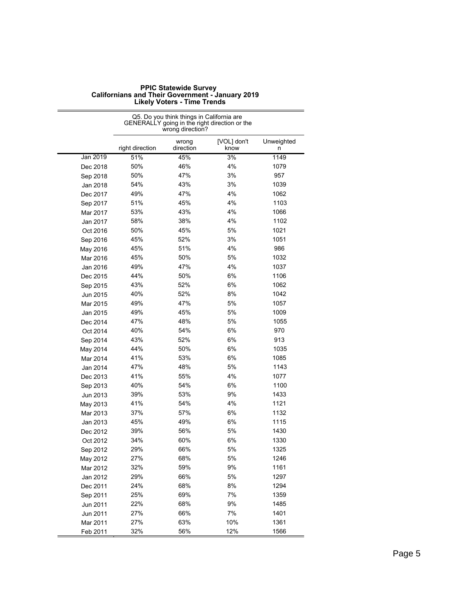|          |                 | Q5. Do you think things in California are<br>wrong direction? | GENERALLY going in the right direction or the |                 |
|----------|-----------------|---------------------------------------------------------------|-----------------------------------------------|-----------------|
|          | right direction | wrong<br>direction                                            | [VOL] don't<br>know                           | Unweighted<br>n |
| Jan 2019 | 51%             | 45%                                                           | 3%                                            | 1149            |
| Dec 2018 | 50%             | 46%                                                           | 4%                                            | 1079            |
| Sep 2018 | 50%             | 47%                                                           | 3%                                            | 957             |
| Jan 2018 | 54%             | 43%                                                           | 3%                                            | 1039            |
| Dec 2017 | 49%             | 47%                                                           | 4%                                            | 1062            |
| Sep 2017 | 51%             | 45%                                                           | 4%                                            | 1103            |
| Mar 2017 | 53%             | 43%                                                           | 4%                                            | 1066            |
| Jan 2017 | 58%             | 38%                                                           | 4%                                            | 1102            |
| Oct 2016 | 50%             | 45%                                                           | 5%                                            | 1021            |
| Sep 2016 | 45%             | 52%                                                           | 3%                                            | 1051            |
| May 2016 | 45%             | 51%                                                           | 4%                                            | 986             |
| Mar 2016 | 45%             | 50%                                                           | 5%                                            | 1032            |
| Jan 2016 | 49%             | 47%                                                           | 4%                                            | 1037            |
| Dec 2015 | 44%             | 50%                                                           | 6%                                            | 1106            |
| Sep 2015 | 43%             | 52%                                                           | 6%                                            | 1062            |
| Jun 2015 | 40%             | 52%                                                           | 8%                                            | 1042            |
| Mar 2015 | 49%             | 47%                                                           | 5%                                            | 1057            |
| Jan 2015 | 49%             | 45%                                                           | 5%                                            | 1009            |
| Dec 2014 | 47%             | 48%                                                           | 5%                                            | 1055            |
| Oct 2014 | 40%             | 54%                                                           | 6%                                            | 970             |
| Sep 2014 | 43%             | 52%                                                           | 6%                                            | 913             |
| May 2014 | 44%             | 50%                                                           | 6%                                            | 1035            |
| Mar 2014 | 41%             | 53%                                                           | 6%                                            | 1085            |
| Jan 2014 | 47%             | 48%                                                           | 5%                                            | 1143            |
| Dec 2013 | 41%             | 55%                                                           | 4%                                            | 1077            |
| Sep 2013 | 40%             | 54%                                                           | 6%                                            | 1100            |
| Jun 2013 | 39%             | 53%                                                           | 9%                                            | 1433            |
| May 2013 | 41%             | 54%                                                           | 4%                                            | 1121            |
| Mar 2013 | 37%             | 57%                                                           | 6%                                            | 1132            |
| Jan 2013 | 45%             | 49%                                                           | 6%                                            | 1115            |
| Dec 2012 | 39%             | 56%                                                           | 5%                                            | 1430            |
| Oct 2012 | 34%             | 60%                                                           | 6%                                            | 1330            |
| Sep 2012 | 29%             | 66%                                                           | 5%                                            | 1325            |
| May 2012 | 27%             | 68%                                                           | 5%                                            | 1246            |
| Mar 2012 | 32%             | 59%                                                           | 9%                                            | 1161            |
| Jan 2012 | 29%             | 66%                                                           | $5%$                                          | 1297            |
| Dec 2011 | 24%             | 68%                                                           | 8%                                            | 1294            |
| Sep 2011 | 25%             | 69%                                                           | 7%                                            | 1359            |
| Jun 2011 | 22%             | 68%                                                           | $9\%$                                         | 1485            |
| Jun 2011 | 27%             | 66%                                                           | 7%                                            | 1401            |
| Mar 2011 | 27%             | 63%                                                           | 10%                                           | 1361            |
| Feb 2011 | 32%             | 56%                                                           | 12%                                           | 1566            |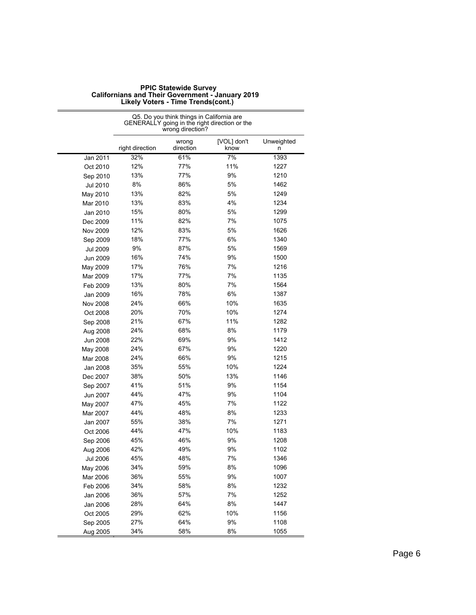|                 | Q5. Do you think things in California are<br>GENERALLY going in the right direction or the<br>wrong direction? |                    |                     |                 |
|-----------------|----------------------------------------------------------------------------------------------------------------|--------------------|---------------------|-----------------|
|                 | right direction                                                                                                | wrong<br>direction | [VOL] don't<br>know | Unweighted<br>n |
| Jan 2011        | 32%                                                                                                            | 61%                | 7%                  | 1393            |
| Oct 2010        | 12%                                                                                                            | 77%                | 11%                 | 1227            |
| Sep 2010        | 13%                                                                                                            | 77%                | 9%                  | 1210            |
| Jul 2010        | 8%                                                                                                             | 86%                | 5%                  | 1462            |
| May 2010        | 13%                                                                                                            | 82%                | 5%                  | 1249            |
| Mar 2010        | 13%                                                                                                            | 83%                | 4%                  | 1234            |
| Jan 2010        | 15%                                                                                                            | 80%                | 5%                  | 1299            |
| Dec 2009        | 11%                                                                                                            | 82%                | 7%                  | 1075            |
| <b>Nov 2009</b> | 12%                                                                                                            | 83%                | 5%                  | 1626            |
| Sep 2009        | 18%                                                                                                            | 77%                | 6%                  | 1340            |
| <b>Jul 2009</b> | 9%                                                                                                             | 87%                | 5%                  | 1569            |
| Jun 2009        | 16%                                                                                                            | 74%                | 9%                  | 1500            |
| May 2009        | 17%                                                                                                            | 76%                | 7%                  | 1216            |
| Mar 2009        | 17%                                                                                                            | 77%                | 7%                  | 1135            |
| Feb 2009        | 13%                                                                                                            | 80%                | 7%                  | 1564            |
| Jan 2009        | 16%                                                                                                            | 78%                | 6%                  | 1387            |
| Nov 2008        | 24%                                                                                                            | 66%                | 10%                 | 1635            |
| Oct 2008        | 20%                                                                                                            | 70%                | 10%                 | 1274            |
| Sep 2008        | 21%                                                                                                            | 67%                | 11%                 | 1282            |
| Aug 2008        | 24%                                                                                                            | 68%                | 8%                  | 1179            |
| Jun 2008        | 22%                                                                                                            | 69%                | 9%                  | 1412            |
| May 2008        | 24%                                                                                                            | 67%                | 9%                  | 1220            |
| Mar 2008        | 24%                                                                                                            | 66%                | 9%                  | 1215            |
| Jan 2008        | 35%                                                                                                            | 55%                | 10%                 | 1224            |
| Dec 2007        | 38%                                                                                                            | 50%                | 13%                 | 1146            |
| Sep 2007        | 41%                                                                                                            | 51%                | 9%                  | 1154            |
| Jun 2007        | 44%                                                                                                            | 47%                | 9%                  | 1104            |
| May 2007        | 47%                                                                                                            | 45%                | 7%                  | 1122            |
| Mar 2007        | 44%                                                                                                            | 48%                | 8%                  | 1233            |
| Jan 2007        | 55%                                                                                                            | 38%                | 7%                  | 1271            |
| Oct 2006        | 44%                                                                                                            | 47%                | 10%                 | 1183            |
| Sep 2006        | 45%                                                                                                            | 46%                | 9%                  | 1208            |
| Aug 2006        | 42%                                                                                                            | 49%                | 9%                  | 1102            |
| Jul 2006        | 45%                                                                                                            | 48%                | 7%                  | 1346            |
| May 2006        | 34%                                                                                                            | 59%                | 8%                  | 1096            |
| Mar 2006        | 36%                                                                                                            | 55%                | 9%                  | 1007            |
| Feb 2006        | 34%                                                                                                            | 58%                | 8%                  | 1232            |
| Jan 2006        | 36%                                                                                                            | 57%                | 7%                  | 1252            |
| Jan 2006        | 28%                                                                                                            | 64%                | 8%                  | 1447            |
| Oct 2005        | 29%                                                                                                            | 62%                | 10%                 | 1156            |
| Sep 2005        | 27%                                                                                                            | 64%                | 9%                  | 1108            |
| Aug 2005        | 34%                                                                                                            | 58%                | 8%                  | 1055            |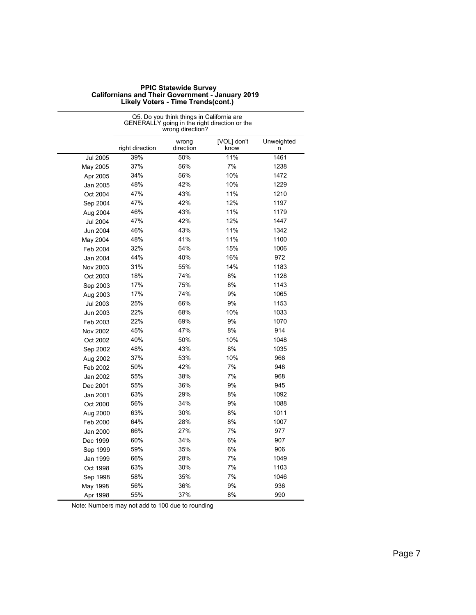|                 | Q5. Do you think things in California are<br>GENERALLY going in the right direction or the<br>wrong direction? |                    |                     |                 |
|-----------------|----------------------------------------------------------------------------------------------------------------|--------------------|---------------------|-----------------|
|                 | right direction                                                                                                | wrong<br>direction | [VOL] don't<br>know | Unweighted<br>n |
| <b>Jul 2005</b> | 39%                                                                                                            | 50%                | 11%                 | 1461            |
| May 2005        | 37%                                                                                                            | 56%                | 7%                  | 1238            |
| Apr 2005        | 34%                                                                                                            | 56%                | 10%                 | 1472            |
| Jan 2005        | 48%                                                                                                            | 42%                | 10%                 | 1229            |
| Oct 2004        | 47%                                                                                                            | 43%                | 11%                 | 1210            |
| Sep 2004        | 47%                                                                                                            | 42%                | 12%                 | 1197            |
| Aug 2004        | 46%                                                                                                            | 43%                | 11%                 | 1179            |
| <b>Jul 2004</b> | 47%                                                                                                            | 42%                | 12%                 | 1447            |
| Jun 2004        | 46%                                                                                                            | 43%                | 11%                 | 1342            |
| May 2004        | 48%                                                                                                            | 41%                | 11%                 | 1100            |
| Feb 2004        | 32%                                                                                                            | 54%                | 15%                 | 1006            |
| Jan 2004        | 44%                                                                                                            | 40%                | 16%                 | 972             |
| Nov 2003        | 31%                                                                                                            | 55%                | 14%                 | 1183            |
| Oct 2003        | 18%                                                                                                            | 74%                | 8%                  | 1128            |
| Sep 2003        | 17%                                                                                                            | 75%                | 8%                  | 1143            |
| Aug 2003        | 17%                                                                                                            | 74%                | 9%                  | 1065            |
| <b>Jul 2003</b> | 25%                                                                                                            | 66%                | 9%                  | 1153            |
| Jun 2003        | 22%                                                                                                            | 68%                | 10%                 | 1033            |
| Feb 2003        | 22%                                                                                                            | 69%                | 9%                  | 1070            |
| Nov 2002        | 45%                                                                                                            | 47%                | 8%                  | 914             |
| Oct 2002        | 40%                                                                                                            | 50%                | 10%                 | 1048            |
| Sep 2002        | 48%                                                                                                            | 43%                | 8%                  | 1035            |
| Aug 2002        | 37%                                                                                                            | 53%                | 10%                 | 966             |
| Feb 2002        | 50%                                                                                                            | 42%                | 7%                  | 948             |
| Jan 2002        | 55%                                                                                                            | 38%                | 7%                  | 968             |
| Dec 2001        | 55%                                                                                                            | 36%                | 9%                  | 945             |
| Jan 2001        | 63%                                                                                                            | 29%                | 8%                  | 1092            |
| Oct 2000        | 56%                                                                                                            | 34%                | 9%                  | 1088            |
| Aug 2000        | 63%                                                                                                            | 30%                | 8%                  | 1011            |
| Feb 2000        | 64%                                                                                                            | 28%                | 8%                  | 1007            |
| Jan 2000        | 66%                                                                                                            | 27%                | 7%                  | 977             |
| Dec 1999        | 60%                                                                                                            | 34%                | 6%                  | 907             |
| Sep 1999        | 59%                                                                                                            | 35%                | 6%                  | 906             |
| Jan 1999        | 66%                                                                                                            | 28%                | 7%                  | 1049            |
| Oct 1998        | 63%                                                                                                            | 30%                | 7%                  | 1103            |
| Sep 1998        | 58%                                                                                                            | 35%                | 7%                  | 1046            |
| May 1998        | 56%                                                                                                            | 36%                | 9%                  | 936             |
| Apr 1998        | 55%                                                                                                            | 37%                | 8%                  | 990             |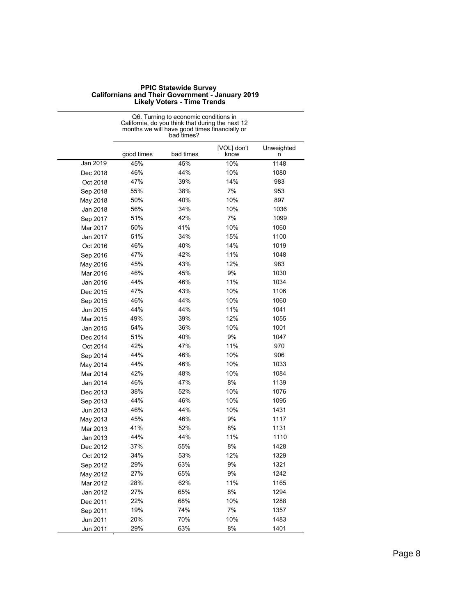| <b>PPIC Statewide Survey</b>                            |
|---------------------------------------------------------|
| <b>Californians and Their Government - January 2019</b> |
| Likoly Votore Timo Tronde                               |

|          |            | Q6. Turning to economic conditions in<br>California, do you think that during the next 12<br>months we will have good times financially or<br>bad times? |                     |                 |
|----------|------------|----------------------------------------------------------------------------------------------------------------------------------------------------------|---------------------|-----------------|
|          | good times | bad times                                                                                                                                                | [VOL] don't<br>know | Unweighted<br>n |
| Jan 2019 | 45%        | 45%                                                                                                                                                      | 10%                 | 1148            |
| Dec 2018 | 46%        | 44%                                                                                                                                                      | 10%                 | 1080            |
| Oct 2018 | 47%        | 39%                                                                                                                                                      | 14%                 | 983             |
| Sep 2018 | 55%        | 38%                                                                                                                                                      | 7%                  | 953             |
| May 2018 | 50%        | 40%                                                                                                                                                      | 10%                 | 897             |
| Jan 2018 | 56%        | 34%                                                                                                                                                      | 10%                 | 1036            |
| Sep 2017 | 51%        | 42%                                                                                                                                                      | 7%                  | 1099            |
| Mar 2017 | 50%        | 41%                                                                                                                                                      | 10%                 | 1060            |
| Jan 2017 | 51%        | 34%                                                                                                                                                      | 15%                 | 1100            |
| Oct 2016 | 46%        | 40%                                                                                                                                                      | 14%                 | 1019            |
| Sep 2016 | 47%        | 42%                                                                                                                                                      | 11%                 | 1048            |
| May 2016 | 45%        | 43%                                                                                                                                                      | 12%                 | 983             |
| Mar 2016 | 46%        | 45%                                                                                                                                                      | 9%                  | 1030            |
| Jan 2016 | 44%        | 46%                                                                                                                                                      | 11%                 | 1034            |
| Dec 2015 | 47%        | 43%                                                                                                                                                      | 10%                 | 1106            |
| Sep 2015 | 46%        | 44%                                                                                                                                                      | 10%                 | 1060            |
| Jun 2015 | 44%        | 44%                                                                                                                                                      | 11%                 | 1041            |
| Mar 2015 | 49%        | 39%                                                                                                                                                      | 12%                 | 1055            |
| Jan 2015 | 54%        | 36%                                                                                                                                                      | 10%                 | 1001            |
| Dec 2014 | 51%        | 40%                                                                                                                                                      | 9%                  | 1047            |
| Oct 2014 | 42%        | 47%                                                                                                                                                      | 11%                 | 970             |
| Sep 2014 | 44%        | 46%                                                                                                                                                      | 10%                 | 906             |
| May 2014 | 44%        | 46%                                                                                                                                                      | 10%                 | 1033            |
| Mar 2014 | 42%        | 48%                                                                                                                                                      | 10%                 | 1084            |
| Jan 2014 | 46%        | 47%                                                                                                                                                      | 8%                  | 1139            |
| Dec 2013 | 38%        | 52%                                                                                                                                                      | 10%                 | 1076            |
| Sep 2013 | 44%        | 46%                                                                                                                                                      | 10%                 | 1095            |
| Jun 2013 | 46%        | 44%                                                                                                                                                      | 10%                 | 1431            |
| May 2013 | 45%        | 46%                                                                                                                                                      | 9%                  | 1117            |
| Mar 2013 | 41%        | 52%                                                                                                                                                      | 8%                  | 1131            |
| Jan 2013 | 44%        | 44%                                                                                                                                                      | 11%                 | 1110            |
| Dec 2012 | 37%        | 55%                                                                                                                                                      | 8%                  | 1428            |
| Oct 2012 | 34%        | 53%                                                                                                                                                      | 12%                 | 1329            |
| Sep 2012 | 29%        | 63%                                                                                                                                                      | 9%                  | 1321            |
| May 2012 | 27%        | 65%                                                                                                                                                      | $9\%$               | 1242            |
| Mar 2012 | 28%        | 62%                                                                                                                                                      | 11%                 | 1165            |
| Jan 2012 | 27%        | 65%                                                                                                                                                      | 8%                  | 1294            |
| Dec 2011 | 22%        | 68%                                                                                                                                                      | 10%                 | 1288            |
| Sep 2011 | 19%        | 74%                                                                                                                                                      | 7%                  | 1357            |
| Jun 2011 | 20%        | 70%                                                                                                                                                      | 10%                 | 1483            |
| Jun 2011 | 29%        | 63%                                                                                                                                                      | 8%                  | 1401            |

# **Likely Voters - Time Trends**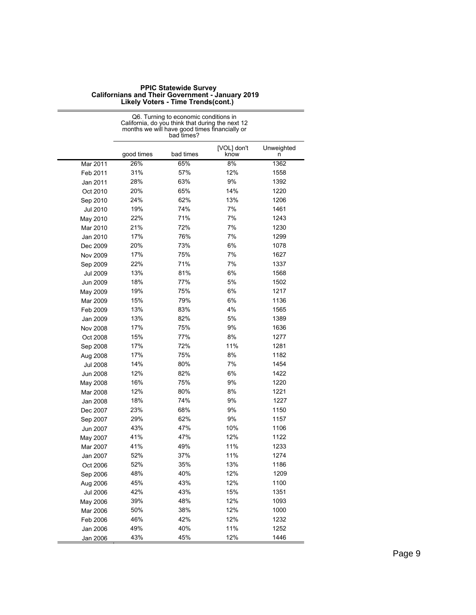|                 | Q6. Turning to economic conditions in<br>California, do you think that during the next 12<br>months we will have good times financially or<br>bad times? |           |                     |                 |
|-----------------|----------------------------------------------------------------------------------------------------------------------------------------------------------|-----------|---------------------|-----------------|
|                 | good times                                                                                                                                               | bad times | [VOL] don't<br>know | Unweighted<br>n |
| Mar 2011        | 26%                                                                                                                                                      | 65%       | 8%                  | 1362            |
| Feb 2011        | 31%                                                                                                                                                      | 57%       | 12%                 | 1558            |
| Jan 2011        | 28%                                                                                                                                                      | 63%       | 9%                  | 1392            |
| Oct 2010        | 20%                                                                                                                                                      | 65%       | 14%                 | 1220            |
| Sep 2010        | 24%                                                                                                                                                      | 62%       | 13%                 | 1206            |
| Jul 2010        | 19%                                                                                                                                                      | 74%       | 7%                  | 1461            |
| May 2010        | 22%                                                                                                                                                      | 71%       | 7%                  | 1243            |
| Mar 2010        | 21%                                                                                                                                                      | 72%       | 7%                  | 1230            |
| Jan 2010        | 17%                                                                                                                                                      | 76%       | 7%                  | 1299            |
| Dec 2009        | 20%                                                                                                                                                      | 73%       | 6%                  | 1078            |
| Nov 2009        | 17%                                                                                                                                                      | 75%       | 7%                  | 1627            |
| Sep 2009        | 22%                                                                                                                                                      | 71%       | 7%                  | 1337            |
| Jul 2009        | 13%                                                                                                                                                      | 81%       | 6%                  | 1568            |
| Jun 2009        | 18%                                                                                                                                                      | 77%       | 5%                  | 1502            |
| May 2009        | 19%                                                                                                                                                      | 75%       | 6%                  | 1217            |
| Mar 2009        | 15%                                                                                                                                                      | 79%       | 6%                  | 1136            |
| Feb 2009        | 13%                                                                                                                                                      | 83%       | 4%                  | 1565            |
| Jan 2009        | 13%                                                                                                                                                      | 82%       | 5%                  | 1389            |
| Nov 2008        | 17%                                                                                                                                                      | 75%       | 9%                  | 1636            |
| Oct 2008        | 15%                                                                                                                                                      | 77%       | 8%                  | 1277            |
| Sep 2008        | 17%                                                                                                                                                      | 72%       | 11%                 | 1281            |
| Aug 2008        | 17%                                                                                                                                                      | 75%       | 8%                  | 1182            |
| <b>Jul 2008</b> | 14%                                                                                                                                                      | 80%       | 7%                  | 1454            |
| <b>Jun 2008</b> | 12%                                                                                                                                                      | 82%       | 6%                  | 1422            |
| May 2008        | 16%                                                                                                                                                      | 75%       | 9%                  | 1220            |
| Mar 2008        | 12%                                                                                                                                                      | 80%       | 8%                  | 1221            |
| Jan 2008        | 18%                                                                                                                                                      | 74%       | 9%                  | 1227            |
| Dec 2007        | 23%                                                                                                                                                      | 68%       | 9%                  | 1150            |
| Sep 2007        | 29%                                                                                                                                                      | 62%       | 9%                  | 1157            |
| Jun 2007        | 43%                                                                                                                                                      | 47%       | 10%                 | 1106            |
| May 2007        | 41%                                                                                                                                                      | 47%       | 12%                 | 1122            |
| Mar 2007        | 41%                                                                                                                                                      | 49%       | 11%                 | 1233            |
| Jan 2007        | 52%                                                                                                                                                      | 37%       | 11%                 | 1274            |
| Oct 2006        | 52%                                                                                                                                                      | 35%       | 13%                 | 1186            |
| Sep 2006        | 48%                                                                                                                                                      | 40%       | 12%                 | 1209            |
| Aug 2006        | 45%                                                                                                                                                      | 43%       | 12%                 | 1100            |
| <b>Jul 2006</b> | 42%                                                                                                                                                      | 43%       | 15%                 | 1351            |
| May 2006        | 39%                                                                                                                                                      | 48%       | 12%                 | 1093            |
| Mar 2006        | 50%                                                                                                                                                      | 38%       | 12%                 | 1000            |
| Feb 2006        | 46%                                                                                                                                                      | 42%       | 12%                 | 1232            |
| Jan 2006        | 49%                                                                                                                                                      | 40%       | 11%                 | 1252            |
| Jan 2006        | 43%                                                                                                                                                      | 45%       | 12%                 | 1446            |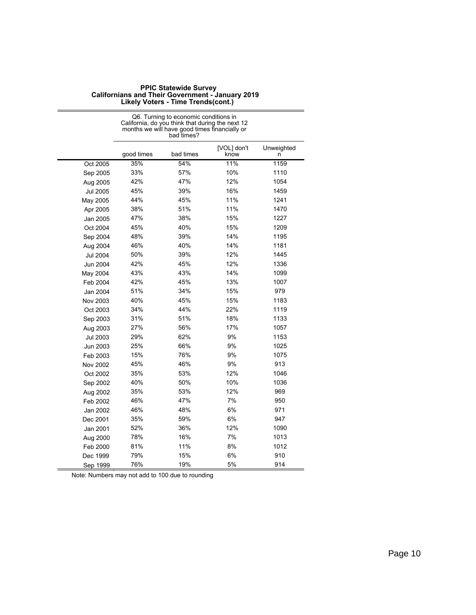| <b>PPIC Statewide Survey</b>                            |
|---------------------------------------------------------|
| <b>Californians and Their Government - January 2019</b> |
| Likely Voters - Time Trends(cont.)                      |

|                 |            | Q6. Turning to economic conditions in<br>California, do you think that during the next 12<br>months we will have good times financially or<br>bad times? |                     |                 |
|-----------------|------------|----------------------------------------------------------------------------------------------------------------------------------------------------------|---------------------|-----------------|
|                 | good times | bad times                                                                                                                                                | [VOL] don't<br>know | Unweighted<br>n |
| Oct 2005        | 35%        | 54%                                                                                                                                                      | 11%                 | 1159            |
| Sep 2005        | 33%        | 57%                                                                                                                                                      | 10%                 | 1110            |
| Aug 2005        | 42%        | 47%                                                                                                                                                      | 12%                 | 1054            |
| <b>Jul 2005</b> | 45%        | 39%                                                                                                                                                      | 16%                 | 1459            |
| May 2005        | 44%        | 45%                                                                                                                                                      | 11%                 | 1241            |
| Apr 2005        | 38%        | 51%                                                                                                                                                      | 11%                 | 1470            |
| Jan 2005        | 47%        | 38%                                                                                                                                                      | 15%                 | 1227            |
| Oct 2004        | 45%        | 40%                                                                                                                                                      | 15%                 | 1209            |
| Sep 2004        | 48%        | 39%                                                                                                                                                      | 14%                 | 1195            |
| Aug 2004        | 46%        | 40%                                                                                                                                                      | 14%                 | 1181            |
| Jul 2004        | 50%        | 39%                                                                                                                                                      | 12%                 | 1445            |
| Jun 2004        | 42%        | 45%                                                                                                                                                      | 12%                 | 1336            |
| May 2004        | 43%        | 43%                                                                                                                                                      | 14%                 | 1099            |
| Feb 2004        | 42%        | 45%                                                                                                                                                      | 13%                 | 1007            |
| Jan 2004        | 51%        | 34%                                                                                                                                                      | 15%                 | 979             |
| Nov 2003        | 40%        | 45%                                                                                                                                                      | 15%                 | 1183            |
| Oct 2003        | 34%        | 44%                                                                                                                                                      | 22%                 | 1119            |
| Sep 2003        | 31%        | 51%                                                                                                                                                      | 18%                 | 1133            |
| Aug 2003        | 27%        | 56%                                                                                                                                                      | 17%                 | 1057            |
| Jul 2003        | 29%        | 62%                                                                                                                                                      | 9%                  | 1153            |
| Jun 2003        | 25%        | 66%                                                                                                                                                      | 9%                  | 1025            |
| Feb 2003        | 15%        | 76%                                                                                                                                                      | 9%                  | 1075            |
| Nov 2002        | 45%        | 46%                                                                                                                                                      | 9%                  | 913             |
| Oct 2002        | 35%        | 53%                                                                                                                                                      | 12%                 | 1046            |
| Sep 2002        | 40%        | 50%                                                                                                                                                      | 10%                 | 1036            |
| Aug 2002        | 35%        | 53%                                                                                                                                                      | 12%                 | 969             |
| Feb 2002        | 46%        | 47%                                                                                                                                                      | 7%                  | 950             |
| Jan 2002        | 46%        | 48%                                                                                                                                                      | 6%                  | 971             |
| Dec 2001        | 35%        | 59%                                                                                                                                                      | 6%                  | 947             |
| Jan 2001        | 52%        | 36%                                                                                                                                                      | 12%                 | 1090            |
| Aug 2000        | 78%        | 16%                                                                                                                                                      | 7%                  | 1013            |
| Feb 2000        | 81%        | 11%                                                                                                                                                      | 8%                  | 1012            |
| Dec 1999        | 79%        | 15%                                                                                                                                                      | 6%                  | 910             |
| Sep 1999        | 76%        | 19%                                                                                                                                                      | 5%                  | 914             |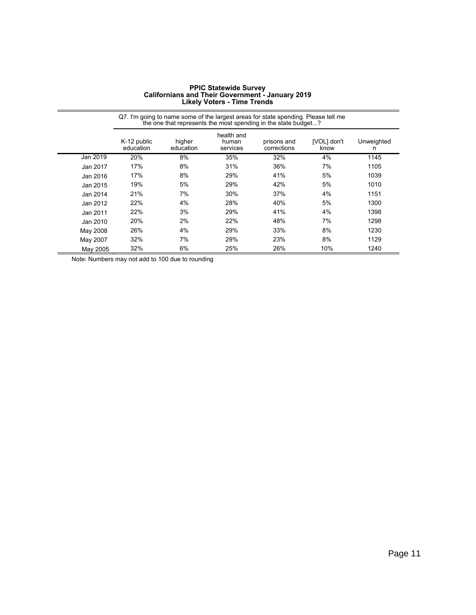| <b>PPIC Statewide Survey</b>                     |
|--------------------------------------------------|
| Californians and Their Government - January 2019 |
| <b>Likely Voters - Time Trends</b>               |

|          |                          |                     |                                 | Q7. I'm going to name some of the largest areas for state spending. Please tell me<br>the one that represents the most spending in the state budget? |                     |                 |
|----------|--------------------------|---------------------|---------------------------------|------------------------------------------------------------------------------------------------------------------------------------------------------|---------------------|-----------------|
|          | K-12 public<br>education | higher<br>education | health and<br>human<br>services | prisons and<br>corrections                                                                                                                           | [VOL] don't<br>know | Unweighted<br>n |
| Jan 2019 | 20%                      | 8%                  | 35%                             | 32%                                                                                                                                                  | 4%                  | 1145            |
| Jan 2017 | 17%                      | 8%                  | 31%                             | 36%                                                                                                                                                  | 7%                  | 1105            |
| Jan 2016 | 17%                      | 8%                  | 29%                             | 41%                                                                                                                                                  | 5%                  | 1039            |
| Jan 2015 | 19%                      | 5%                  | 29%                             | 42%                                                                                                                                                  | 5%                  | 1010            |
| Jan 2014 | 21%                      | 7%                  | 30%                             | 37%                                                                                                                                                  | 4%                  | 1151            |
| Jan 2012 | 22%                      | 4%                  | 28%                             | 40%                                                                                                                                                  | 5%                  | 1300            |
| Jan 2011 | 22%                      | 3%                  | 29%                             | 41%                                                                                                                                                  | 4%                  | 1398            |
| Jan 2010 | 20%                      | 2%                  | 22%                             | 48%                                                                                                                                                  | 7%                  | 1298            |
| May 2008 | 26%                      | 4%                  | 29%                             | 33%                                                                                                                                                  | 8%                  | 1230            |
| May 2007 | 32%                      | 7%                  | 29%                             | 23%                                                                                                                                                  | 8%                  | 1129            |
| May 2005 | 32%                      | 6%                  | 25%                             | 26%                                                                                                                                                  | 10%                 | 1240            |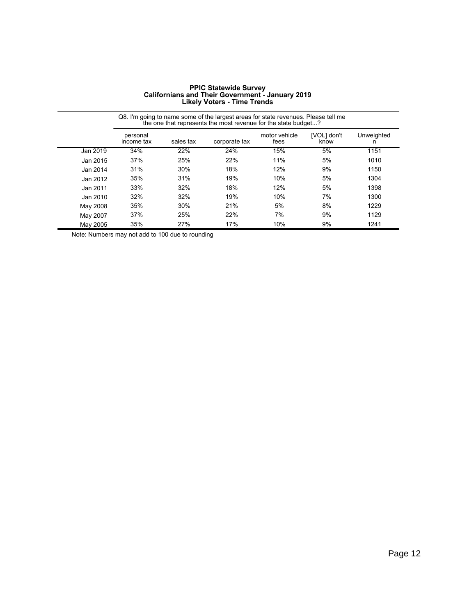| <b>PPIC Statewide Survey</b>                            |
|---------------------------------------------------------|
| <b>Californians and Their Government - January 2019</b> |
| <b>Likely Voters - Time Trends</b>                      |

|          | Q8. I'm going to name some of the largest areas for state revenues. Please tell me<br>the one that represents the most revenue for the state budget? |           |               |                       |                     |                 |
|----------|------------------------------------------------------------------------------------------------------------------------------------------------------|-----------|---------------|-----------------------|---------------------|-----------------|
|          | personal<br>income tax                                                                                                                               | sales tax | corporate tax | motor vehicle<br>fees | [VOL] don't<br>know | Unweighted<br>n |
| Jan 2019 | 34%                                                                                                                                                  | 22%       | 24%           | 15%                   | 5%                  | 1151            |
| Jan 2015 | 37%                                                                                                                                                  | 25%       | 22%           | 11%                   | 5%                  | 1010            |
| Jan 2014 | 31%                                                                                                                                                  | 30%       | 18%           | 12%                   | 9%                  | 1150            |
| Jan 2012 | 35%                                                                                                                                                  | 31%       | 19%           | 10%                   | 5%                  | 1304            |
| Jan 2011 | 33%                                                                                                                                                  | 32%       | 18%           | 12%                   | 5%                  | 1398            |
| Jan 2010 | 32%                                                                                                                                                  | 32%       | 19%           | 10%                   | 7%                  | 1300            |
| May 2008 | 35%                                                                                                                                                  | 30%       | 21%           | 5%                    | 8%                  | 1229            |
| May 2007 | 37%                                                                                                                                                  | 25%       | 22%           | 7%                    | 9%                  | 1129            |
| May 2005 | 35%                                                                                                                                                  | 27%       | 17%           | 10%                   | 9%                  | 1241            |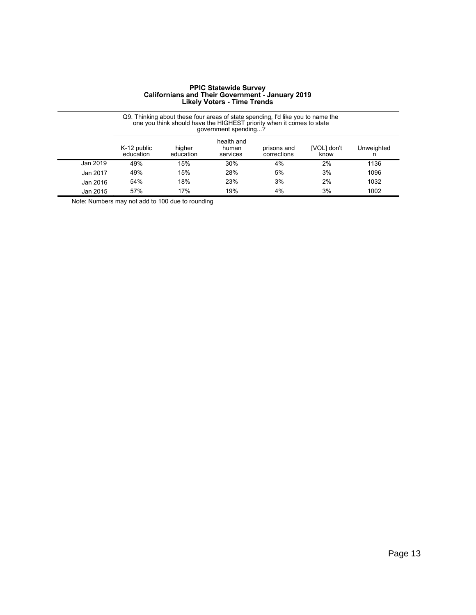|          |                          |                     | qovernment spending?            | Q9. Thinking about these four areas of state spending, I'd like you to name the<br>one you think should have the HIGHEST priority when it comes to state |                     |                 |
|----------|--------------------------|---------------------|---------------------------------|----------------------------------------------------------------------------------------------------------------------------------------------------------|---------------------|-----------------|
|          | K-12 public<br>education | higher<br>education | health and<br>human<br>services | prisons and<br>corrections                                                                                                                               | [VOL] don't<br>know | Unweighted<br>n |
| Jan 2019 | 49%                      | 15%                 | 30%                             | 4%                                                                                                                                                       | 2%                  | 1136            |
| Jan 2017 | 49%                      | 15%                 | 28%                             | 5%                                                                                                                                                       | 3%                  | 1096            |
| Jan 2016 | 54%                      | 18%                 | 23%                             | 3%                                                                                                                                                       | 2%                  | 1032            |
| Jan 2015 | 57%                      | 17%                 | 19%                             | 4%                                                                                                                                                       | 3%                  | 1002            |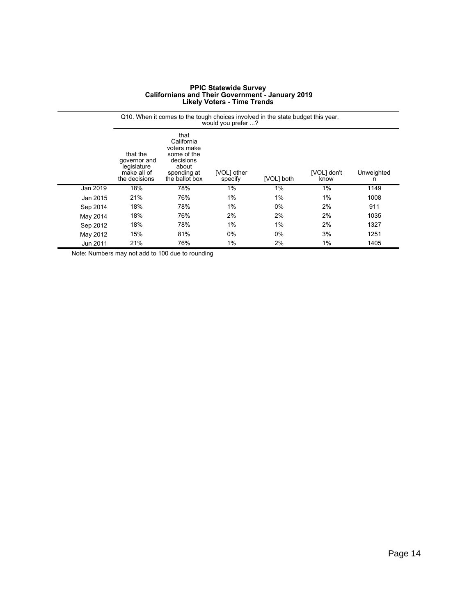|          |                                                                         | Q10. When it comes to the tough choices involved in the state budget this year,                         | would you prefer ?     |            |                     |                 |
|----------|-------------------------------------------------------------------------|---------------------------------------------------------------------------------------------------------|------------------------|------------|---------------------|-----------------|
|          | that the<br>governor and<br>legislature<br>make all of<br>the decisions | that<br>California<br>voters make<br>some of the<br>decisions<br>about<br>spending at<br>the ballot box | [VOL] other<br>specify | [VOL] both | [VOL] don't<br>know | Unweighted<br>n |
| Jan 2019 | 18%                                                                     | 78%                                                                                                     | 1%                     | 1%         | 1%                  | 1149            |
| Jan 2015 | 21%                                                                     | 76%                                                                                                     | 1%                     | 1%         | $1\%$               | 1008            |
| Sep 2014 | 18%                                                                     | 78%                                                                                                     | 1%                     | $0\%$      | 2%                  | 911             |
| May 2014 | 18%                                                                     | 76%                                                                                                     | 2%                     | 2%         | 2%                  | 1035            |
| Sep 2012 | 18%                                                                     | 78%                                                                                                     | 1%                     | 1%         | 2%                  | 1327            |
| May 2012 | 15%                                                                     | 81%                                                                                                     | 0%                     | $0\%$      | 3%                  | 1251            |
| Jun 2011 | 21%                                                                     | 76%                                                                                                     | 1%                     | 2%         | 1%                  | 1405            |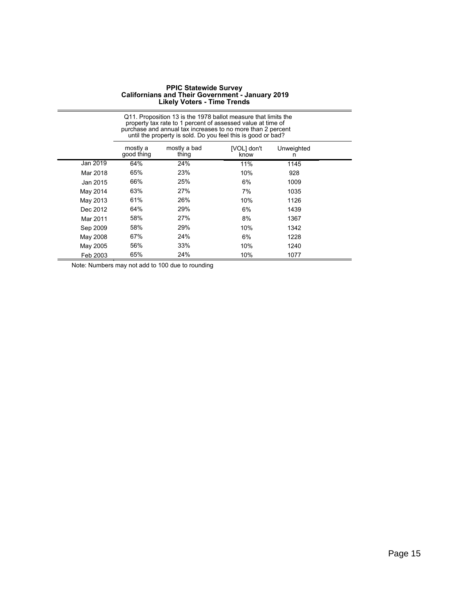|          |                        | Q11. Proposition 13 is the 1978 ballot measure that limits the<br>property tax rate to 1 percent of assessed value at time of<br>purchase and annual tax increases to no more than 2 percent<br>until the property is sold. Do you feel this is good or bad? |                     |                 |  |
|----------|------------------------|--------------------------------------------------------------------------------------------------------------------------------------------------------------------------------------------------------------------------------------------------------------|---------------------|-----------------|--|
|          | mostly a<br>good thing | mostly a bad<br>thing                                                                                                                                                                                                                                        | [VOL] don't<br>know | Unweighted<br>n |  |
| Jan 2019 | 64%                    | 24%                                                                                                                                                                                                                                                          | 11%                 | 1145            |  |
| Mar 2018 | 65%                    | 23%                                                                                                                                                                                                                                                          | 10%                 | 928             |  |
| Jan 2015 | 66%                    | 25%                                                                                                                                                                                                                                                          | 6%                  | 1009            |  |
| May 2014 | 63%                    | 27%                                                                                                                                                                                                                                                          | 7%                  | 1035            |  |
| May 2013 | 61%                    | 26%                                                                                                                                                                                                                                                          | 10%                 | 1126            |  |
| Dec 2012 | 64%                    | 29%                                                                                                                                                                                                                                                          | 6%                  | 1439            |  |
| Mar 2011 | 58%                    | 27%                                                                                                                                                                                                                                                          | 8%                  | 1367            |  |
| Sep 2009 | 58%                    | 29%                                                                                                                                                                                                                                                          | 10%                 | 1342            |  |
| May 2008 | 67%                    | 24%                                                                                                                                                                                                                                                          | 6%                  | 1228            |  |
| May 2005 | 56%                    | 33%                                                                                                                                                                                                                                                          | 10%                 | 1240            |  |
| Feb 2003 | 65%                    | 24%                                                                                                                                                                                                                                                          | 10%                 | 1077            |  |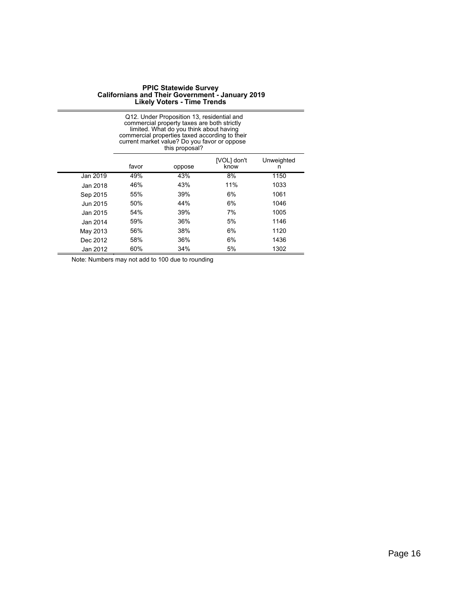|          |       | Q12. Under Proposition 13, residential and<br>commercial property taxes are both strictly<br>limited. What do you think about having<br>commercial properties taxed according to their<br>current market value? Do you favor or oppose<br>this proposal? |                     |                 |
|----------|-------|----------------------------------------------------------------------------------------------------------------------------------------------------------------------------------------------------------------------------------------------------------|---------------------|-----------------|
|          | favor | oppose                                                                                                                                                                                                                                                   | [VOL] don't<br>know | Unweighted<br>n |
| Jan 2019 | 49%   | 43%                                                                                                                                                                                                                                                      | 8%                  | 1150            |
| Jan 2018 | 46%   | 43%                                                                                                                                                                                                                                                      | 11%                 | 1033            |
| Sep 2015 | 55%   | 39%                                                                                                                                                                                                                                                      | 6%                  | 1061            |
| Jun 2015 | 50%   | 44%                                                                                                                                                                                                                                                      | 6%                  | 1046            |
| Jan 2015 | 54%   | 39%                                                                                                                                                                                                                                                      | 7%                  | 1005            |
| Jan 2014 | 59%   | 36%                                                                                                                                                                                                                                                      | 5%                  | 1146            |
| May 2013 | 56%   | 38%                                                                                                                                                                                                                                                      | 6%                  | 1120            |
| Dec 2012 | 58%   | 36%                                                                                                                                                                                                                                                      | 6%                  | 1436            |
| Jan 2012 | 60%   | 34%                                                                                                                                                                                                                                                      | 5%                  | 1302            |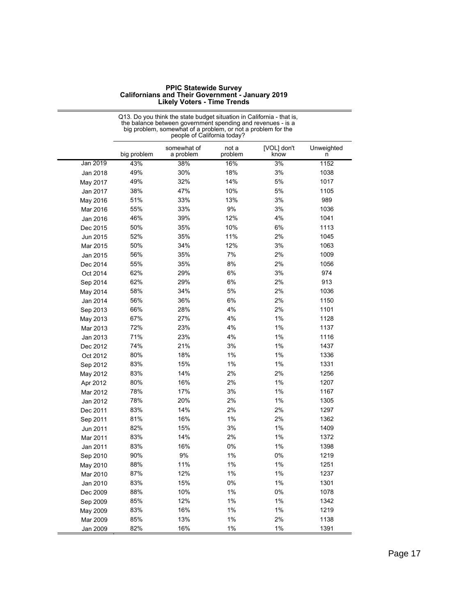|          |             | the balance between government spending and revenues - is a<br>big problem, somewhat of a problem, or not a problem for the<br>people of California today? |                  |                     |                 |
|----------|-------------|------------------------------------------------------------------------------------------------------------------------------------------------------------|------------------|---------------------|-----------------|
|          | big problem | somewhat of<br>a problem                                                                                                                                   | not a<br>problem | [VOL] don't<br>know | Unweighted<br>n |
| Jan 2019 | 43%         | 38%                                                                                                                                                        | 16%              | 3%                  | 1152            |
| Jan 2018 | 49%         | 30%                                                                                                                                                        | 18%              | 3%                  | 1038            |
| May 2017 | 49%         | 32%                                                                                                                                                        | 14%              | 5%                  | 1017            |
| Jan 2017 | 38%         | 47%                                                                                                                                                        | 10%              | 5%                  | 1105            |
| May 2016 | 51%         | 33%                                                                                                                                                        | 13%              | 3%                  | 989             |
| Mar 2016 | 55%         | 33%                                                                                                                                                        | 9%               | 3%                  | 1036            |
| Jan 2016 | 46%         | 39%                                                                                                                                                        | 12%              | 4%                  | 1041            |
| Dec 2015 | 50%         | 35%                                                                                                                                                        | 10%              | 6%                  | 1113            |
| Jun 2015 | 52%         | 35%                                                                                                                                                        | 11%              | 2%                  | 1045            |
| Mar 2015 | 50%         | 34%                                                                                                                                                        | 12%              | 3%                  | 1063            |
| Jan 2015 | 56%         | 35%                                                                                                                                                        | 7%               | 2%                  | 1009            |
| Dec 2014 | 55%         | 35%                                                                                                                                                        | 8%               | 2%                  | 1056            |
| Oct 2014 | 62%         | 29%                                                                                                                                                        | 6%               | 3%                  | 974             |
| Sep 2014 | 62%         | 29%                                                                                                                                                        | 6%               | 2%                  | 913             |
| May 2014 | 58%         | 34%                                                                                                                                                        | 5%               | 2%                  | 1036            |
| Jan 2014 | 56%         | 36%                                                                                                                                                        | 6%               | 2%                  | 1150            |
| Sep 2013 | 66%         | 28%                                                                                                                                                        | 4%               | 2%                  | 1101            |
| May 2013 | 67%         | 27%                                                                                                                                                        | 4%               | 1%                  | 1128            |
| Mar 2013 | 72%         | 23%                                                                                                                                                        | 4%               | 1%                  | 1137            |
| Jan 2013 | 71%         | 23%                                                                                                                                                        | 4%               | 1%                  | 1116            |
| Dec 2012 | 74%         | 21%                                                                                                                                                        | 3%               | 1%                  | 1437            |
| Oct 2012 | 80%         | 18%                                                                                                                                                        | 1%               | 1%                  | 1336            |
| Sep 2012 | 83%         | 15%                                                                                                                                                        | 1%               | 1%                  | 1331            |
| May 2012 | 83%         | 14%                                                                                                                                                        | 2%               | 2%                  | 1256            |
| Apr 2012 | 80%         | 16%                                                                                                                                                        | 2%               | 1%                  | 1207            |
| Mar 2012 | 78%         | 17%                                                                                                                                                        | 3%               | 1%                  | 1167            |
| Jan 2012 | 78%         | 20%                                                                                                                                                        | 2%               | 1%                  | 1305            |
| Dec 2011 | 83%         | 14%                                                                                                                                                        | 2%               | 2%                  | 1297            |
| Sep 2011 | 81%         | 16%                                                                                                                                                        | 1%               | 2%                  | 1362            |
| Jun 2011 | 82%         | 15%                                                                                                                                                        | 3%               | 1%                  | 1409            |
| Mar 2011 | 83%         | 14%                                                                                                                                                        | 2%               | $1\%$               | 1372            |
| Jan 2011 | 83%         | 16%                                                                                                                                                        | 0%               | $1\%$               | 1398            |
| Sep 2010 | 90%         | 9%                                                                                                                                                         | 1%               | 0%                  | 1219            |
| May 2010 | 88%         | 11%                                                                                                                                                        | 1%               | $1\%$               | 1251            |
| Mar 2010 | 87%         | 12%                                                                                                                                                        | 1%               | $1\%$               | 1237            |
| Jan 2010 | 83%         | 15%                                                                                                                                                        | 0%               | $1\%$               | 1301            |
| Dec 2009 | 88%         | 10%                                                                                                                                                        | $1\%$            | $0\%$               | 1078            |
| Sep 2009 | 85%         | 12%                                                                                                                                                        | 1%               | 1%                  | 1342            |
| May 2009 | 83%         | 16%                                                                                                                                                        | $1\%$            | $1\%$               | 1219            |
| Mar 2009 | 85%         | 13%                                                                                                                                                        | 1%               | 2%                  | 1138            |
| Jan 2009 | 82%         | 16%                                                                                                                                                        | 1%               | 1%                  | 1391            |

Q13. Do you think the state budget situation in California - that is,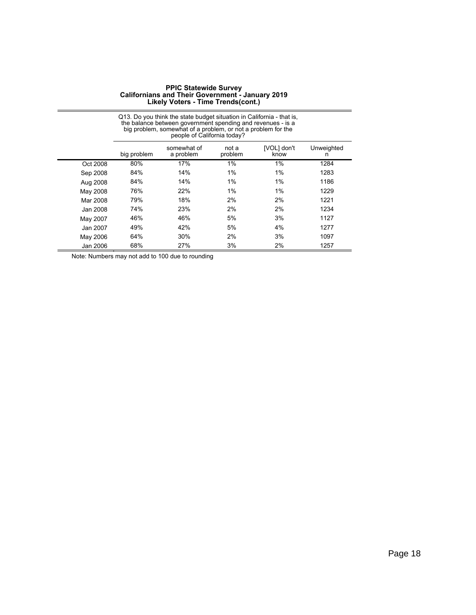|          |             | Q13. Do you think the state budget situation in California - that is,<br>the balance between government spending and revenues - is a<br>big problem, somewhat of a problem, or not a problem for the<br>people of California today? |                  |                     |                 |
|----------|-------------|-------------------------------------------------------------------------------------------------------------------------------------------------------------------------------------------------------------------------------------|------------------|---------------------|-----------------|
|          | big problem | somewhat of<br>a problem                                                                                                                                                                                                            | not a<br>problem | [VOL] don't<br>know | Unweighted<br>n |
| Oct 2008 | 80%         | 17%                                                                                                                                                                                                                                 | 1%               | 1%                  | 1284            |
| Sep 2008 | 84%         | 14%                                                                                                                                                                                                                                 | $1\%$            | $1\%$               | 1283            |
| Aug 2008 | 84%         | 14%                                                                                                                                                                                                                                 | $1\%$            | 1%                  | 1186            |
| May 2008 | 76%         | 22%                                                                                                                                                                                                                                 | $1\%$            | 1%                  | 1229            |
| Mar 2008 | 79%         | 18%                                                                                                                                                                                                                                 | 2%               | 2%                  | 1221            |
| Jan 2008 | 74%         | 23%                                                                                                                                                                                                                                 | 2%               | 2%                  | 1234            |
| May 2007 | 46%         | 46%                                                                                                                                                                                                                                 | 5%               | 3%                  | 1127            |
| Jan 2007 | 49%         | 42%                                                                                                                                                                                                                                 | 5%               | 4%                  | 1277            |
| May 2006 | 64%         | 30%                                                                                                                                                                                                                                 | 2%               | 3%                  | 1097            |
| Jan 2006 | 68%         | 27%                                                                                                                                                                                                                                 | 3%               | 2%                  | 1257            |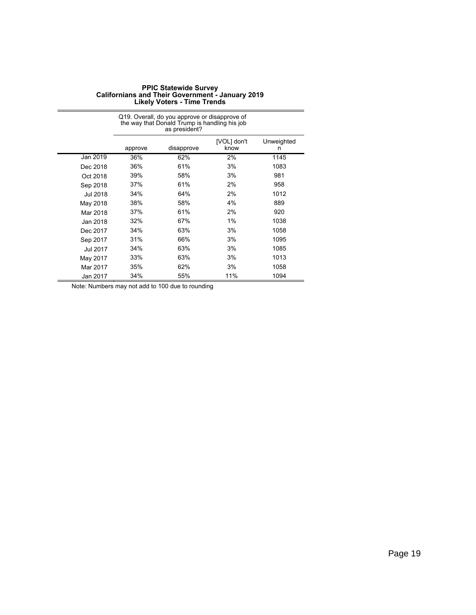| <b>PPIC Statewide Survey</b>                            |
|---------------------------------------------------------|
| <b>Californians and Their Government - January 2019</b> |
| <b>Likely Voters - Time Trends</b>                      |

|          |         | Q19. Overall, do you approve or disapprove of<br>the way that Donald Trump is handling his job<br>as president? |                     |                 |  |  |
|----------|---------|-----------------------------------------------------------------------------------------------------------------|---------------------|-----------------|--|--|
|          | approve | disapprove                                                                                                      | [VOL] don't<br>know | Unweighted<br>n |  |  |
| Jan 2019 | 36%     | 62%                                                                                                             | 2%                  | 1145            |  |  |
| Dec 2018 | 36%     | 61%                                                                                                             | 3%                  | 1083            |  |  |
| Oct 2018 | 39%     | 58%                                                                                                             | 3%                  | 981             |  |  |
| Sep 2018 | 37%     | 61%                                                                                                             | 2%                  | 958             |  |  |
| Jul 2018 | 34%     | 64%                                                                                                             | 2%                  | 1012            |  |  |
| May 2018 | 38%     | 58%                                                                                                             | 4%                  | 889             |  |  |
| Mar 2018 | 37%     | 61%                                                                                                             | 2%                  | 920             |  |  |
| Jan 2018 | 32%     | 67%                                                                                                             | 1%                  | 1038            |  |  |
| Dec 2017 | 34%     | 63%                                                                                                             | 3%                  | 1058            |  |  |
| Sep 2017 | 31%     | 66%                                                                                                             | 3%                  | 1095            |  |  |
| Jul 2017 | 34%     | 63%                                                                                                             | 3%                  | 1085            |  |  |
| May 2017 | 33%     | 63%                                                                                                             | 3%                  | 1013            |  |  |
| Mar 2017 | 35%     | 62%                                                                                                             | 3%                  | 1058            |  |  |
| Jan 2017 | 34%     | 55%                                                                                                             | 11%                 | 1094            |  |  |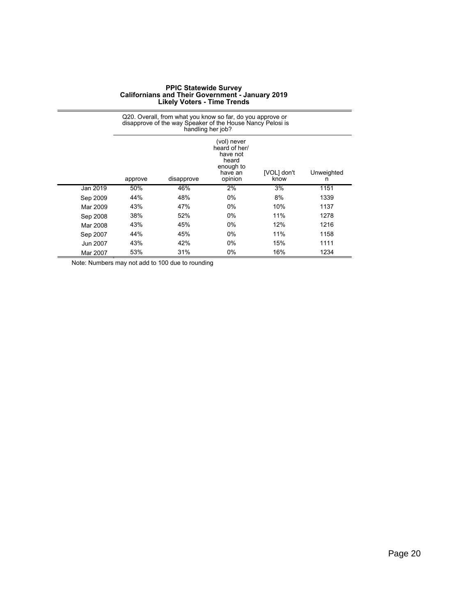|          | Q20. Overall, from what you know so far, do you approve or<br>disapprove of the way Speaker of the House Nancy Pelosi is<br>handling her job?           |     |       |     |      |  |  |
|----------|---------------------------------------------------------------------------------------------------------------------------------------------------------|-----|-------|-----|------|--|--|
|          | (vol) never<br>heard of her/<br>have not<br>heard<br>enough to<br>[VOL] don't<br>Unweighted<br>have an<br>disapprove<br>opinion<br>know<br>approve<br>n |     |       |     |      |  |  |
| Jan 2019 | 50%                                                                                                                                                     | 46% | 2%    | 3%  | 1151 |  |  |
| Sep 2009 | 44%                                                                                                                                                     | 48% | 0%    | 8%  | 1339 |  |  |
| Mar 2009 | 43%                                                                                                                                                     | 47% | 0%    | 10% | 1137 |  |  |
| Sep 2008 | 38%                                                                                                                                                     | 52% | $0\%$ | 11% | 1278 |  |  |
| Mar 2008 | 43%                                                                                                                                                     | 45% | $0\%$ | 12% | 1216 |  |  |
| Sep 2007 | 44%                                                                                                                                                     | 45% | $0\%$ | 11% | 1158 |  |  |
| Jun 2007 | 43%                                                                                                                                                     | 42% | $0\%$ | 15% | 1111 |  |  |
| Mar 2007 | 53%                                                                                                                                                     | 31% | 0%    | 16% | 1234 |  |  |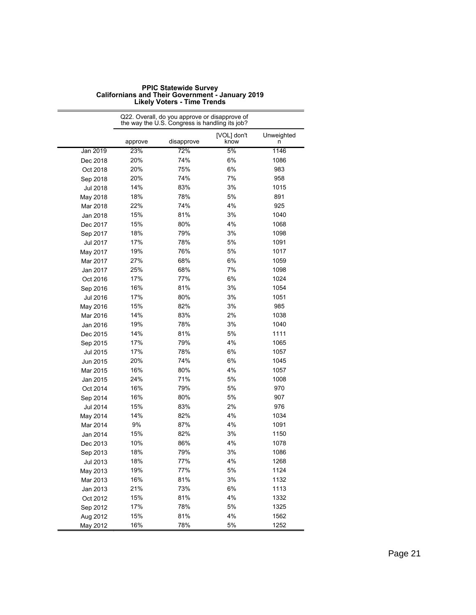|          |         | the way the U.S. Congress is handling its job? |                     |                 |
|----------|---------|------------------------------------------------|---------------------|-----------------|
|          | approve | disapprove                                     | [VOL] don't<br>know | Unweighted<br>n |
| Jan 2019 | 23%     | 72%                                            | 5%                  | 1146            |
| Dec 2018 | 20%     | 74%                                            | 6%                  | 1086            |
| Oct 2018 | 20%     | 75%                                            | 6%                  | 983             |
| Sep 2018 | 20%     | 74%                                            | 7%                  | 958             |
| Jul 2018 | 14%     | 83%                                            | 3%                  | 1015            |
| May 2018 | 18%     | 78%                                            | 5%                  | 891             |
| Mar 2018 | 22%     | 74%                                            | 4%                  | 925             |
| Jan 2018 | 15%     | 81%                                            | 3%                  | 1040            |
| Dec 2017 | 15%     | 80%                                            | 4%                  | 1068            |
| Sep 2017 | 18%     | 79%                                            | 3%                  | 1098            |
| Jul 2017 | 17%     | 78%                                            | 5%                  | 1091            |
| May 2017 | 19%     | 76%                                            | 5%                  | 1017            |
| Mar 2017 | 27%     | 68%                                            | 6%                  | 1059            |
| Jan 2017 | 25%     | 68%                                            | 7%                  | 1098            |
| Oct 2016 | 17%     | 77%                                            | 6%                  | 1024            |
| Sep 2016 | 16%     | 81%                                            | 3%                  | 1054            |
| Jul 2016 | 17%     | 80%                                            | 3%                  | 1051            |
| May 2016 | 15%     | 82%                                            | 3%                  | 985             |
| Mar 2016 | 14%     | 83%                                            | 2%                  | 1038            |
| Jan 2016 | 19%     | 78%                                            | 3%                  | 1040            |
| Dec 2015 | 14%     | 81%                                            | 5%                  | 1111            |
| Sep 2015 | 17%     | 79%                                            | 4%                  | 1065            |
| Jul 2015 | 17%     | 78%                                            | 6%                  | 1057            |
| Jun 2015 | 20%     | 74%                                            | 6%                  | 1045            |
| Mar 2015 | 16%     | 80%                                            | 4%                  | 1057            |
| Jan 2015 | 24%     | 71%                                            | 5%                  | 1008            |
| Oct 2014 | 16%     | 79%                                            | 5%                  | 970             |
| Sep 2014 | 16%     | 80%                                            | 5%                  | 907             |
| Jul 2014 | 15%     | 83%                                            | 2%                  | 976             |
| May 2014 | 14%     | 82%                                            | 4%                  | 1034            |
| Mar 2014 | 9%      | 87%                                            | 4%                  | 1091            |
| Jan 2014 | 15%     | 82%                                            | 3%                  | 1150            |
| Dec 2013 | 10%     | 86%                                            | 4%                  | 1078            |
| Sep 2013 | 18%     | 79%                                            | 3%                  | 1086            |
| Jul 2013 | 18%     | 77%                                            | 4%                  | 1268            |
| May 2013 | 19%     | 77%                                            | 5%                  | 1124            |
| Mar 2013 | 16%     | 81%                                            | 3%                  | 1132            |
| Jan 2013 | 21%     | 73%                                            | $6\%$               | 1113            |
| Oct 2012 | 15%     | 81%                                            | 4%                  | 1332            |
| Sep 2012 | 17%     | 78%                                            | 5%                  | 1325            |
| Aug 2012 | 15%     | 81%                                            | 4%                  | 1562            |
| May 2012 | 16%     | 78%                                            | 5%                  | 1252            |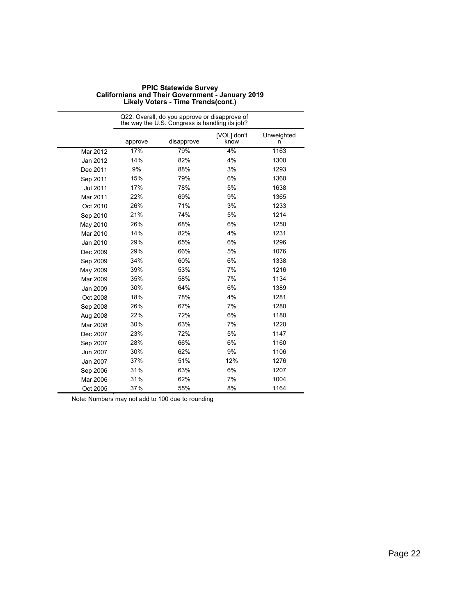|          | Q22. Overall, do you approve or disapprove of<br>the way the U.S. Congress is handling its job? |            |                     |                 |
|----------|-------------------------------------------------------------------------------------------------|------------|---------------------|-----------------|
|          | approve                                                                                         | disapprove | [VOL] don't<br>know | Unweighted<br>n |
| Mar 2012 | 17%                                                                                             | 79%        | 4%                  | 1163            |
| Jan 2012 | 14%                                                                                             | 82%        | 4%                  | 1300            |
| Dec 2011 | 9%                                                                                              | 88%        | 3%                  | 1293            |
| Sep 2011 | 15%                                                                                             | 79%        | 6%                  | 1360            |
| Jul 2011 | 17%                                                                                             | 78%        | 5%                  | 1638            |
| Mar 2011 | 22%                                                                                             | 69%        | 9%                  | 1365            |
| Oct 2010 | 26%                                                                                             | 71%        | 3%                  | 1233            |
| Sep 2010 | 21%                                                                                             | 74%        | 5%                  | 1214            |
| May 2010 | 26%                                                                                             | 68%        | 6%                  | 1250            |
| Mar 2010 | 14%                                                                                             | 82%        | 4%                  | 1231            |
| Jan 2010 | 29%                                                                                             | 65%        | 6%                  | 1296            |
| Dec 2009 | 29%                                                                                             | 66%        | 5%                  | 1076            |
| Sep 2009 | 34%                                                                                             | 60%        | 6%                  | 1338            |
| May 2009 | 39%                                                                                             | 53%        | 7%                  | 1216            |
| Mar 2009 | 35%                                                                                             | 58%        | 7%                  | 1134            |
| Jan 2009 | 30%                                                                                             | 64%        | 6%                  | 1389            |
| Oct 2008 | 18%                                                                                             | 78%        | 4%                  | 1281            |
| Sep 2008 | 26%                                                                                             | 67%        | 7%                  | 1280            |
| Aug 2008 | 22%                                                                                             | 72%        | 6%                  | 1180            |
| Mar 2008 | 30%                                                                                             | 63%        | 7%                  | 1220            |
| Dec 2007 | 23%                                                                                             | 72%        | 5%                  | 1147            |
| Sep 2007 | 28%                                                                                             | 66%        | 6%                  | 1160            |
| Jun 2007 | 30%                                                                                             | 62%        | 9%                  | 1106            |
| Jan 2007 | 37%                                                                                             | 51%        | 12%                 | 1276            |
| Sep 2006 | 31%                                                                                             | 63%        | 6%                  | 1207            |
| Mar 2006 | 31%                                                                                             | 62%        | 7%                  | 1004            |
| Oct 2005 | 37%                                                                                             | 55%        | 8%                  | 1164            |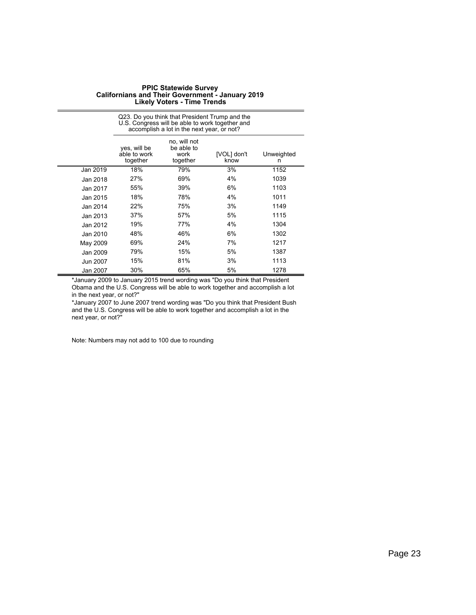|          | Q23. Do you think that President Trump and the<br>U.S. Congress will be able to work together and<br>accomplish a lot in the next year, or not? |                                                |                     |                 |
|----------|-------------------------------------------------------------------------------------------------------------------------------------------------|------------------------------------------------|---------------------|-----------------|
|          | yes, will be<br>able to work<br>together                                                                                                        | no, will not<br>be able to<br>work<br>together | [VOL] don't<br>know | Unweighted<br>n |
| Jan 2019 | 18%                                                                                                                                             | 79%                                            | 3%                  | 1152            |
| Jan 2018 | 27%                                                                                                                                             | 69%                                            | 4%                  | 1039            |
| Jan 2017 | 55%                                                                                                                                             | 39%                                            | 6%                  | 1103            |
| Jan 2015 | 18%                                                                                                                                             | 78%                                            | 4%                  | 1011            |
| Jan 2014 | 22%                                                                                                                                             | 75%                                            | 3%                  | 1149            |
| Jan 2013 | 37%                                                                                                                                             | 57%                                            | 5%                  | 1115            |
| Jan 2012 | 19%                                                                                                                                             | 77%                                            | 4%                  | 1304            |
| Jan 2010 | 48%                                                                                                                                             | 46%                                            | 6%                  | 1302            |
| May 2009 | 69%                                                                                                                                             | 24%                                            | 7%                  | 1217            |
| Jan 2009 | 79%                                                                                                                                             | 15%                                            | 5%                  | 1387            |
| Jun 2007 | 15%                                                                                                                                             | 81%                                            | 3%                  | 1113            |
| Jan 2007 | 30%                                                                                                                                             | 65%                                            | 5%                  | 1278            |

\*January 2009 to January 2015 trend wording was "Do you think that President Obama and the U.S. Congress will be able to work together and accomplish a lot in the next year, or not?"

\*January 2007 to June 2007 trend wording was "Do you think that President Bush and the U.S. Congress will be able to work together and accomplish a lot in the next year, or not?"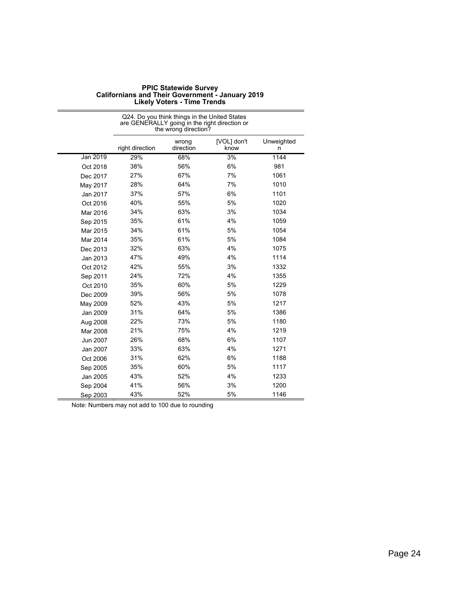|          | Q24. Do you think things in the United States<br>are GENERALLY going in the right direction or<br>the wrong direction? |                    |                     |                 |  |
|----------|------------------------------------------------------------------------------------------------------------------------|--------------------|---------------------|-----------------|--|
|          | right direction                                                                                                        | wrong<br>direction | [VOL] don't<br>know | Unweighted<br>n |  |
| Jan 2019 | 29%                                                                                                                    | 68%                | 3%                  | 1144            |  |
| Oct 2018 | 38%                                                                                                                    | 56%                | 6%                  | 981             |  |
| Dec 2017 | 27%                                                                                                                    | 67%                | 7%                  | 1061            |  |
| May 2017 | 28%                                                                                                                    | 64%                | 7%                  | 1010            |  |
| Jan 2017 | 37%                                                                                                                    | 57%                | 6%                  | 1101            |  |
| Oct 2016 | 40%                                                                                                                    | 55%                | 5%                  | 1020            |  |
| Mar 2016 | 34%                                                                                                                    | 63%                | 3%                  | 1034            |  |
| Sep 2015 | 35%                                                                                                                    | 61%                | 4%                  | 1059            |  |
| Mar 2015 | 34%                                                                                                                    | 61%                | 5%                  | 1054            |  |
| Mar 2014 | 35%                                                                                                                    | 61%                | 5%                  | 1084            |  |
| Dec 2013 | 32%                                                                                                                    | 63%                | 4%                  | 1075            |  |
| Jan 2013 | 47%                                                                                                                    | 49%                | 4%                  | 1114            |  |
| Oct 2012 | 42%                                                                                                                    | 55%                | 3%                  | 1332            |  |
| Sep 2011 | 24%                                                                                                                    | 72%                | 4%                  | 1355            |  |
| Oct 2010 | 35%                                                                                                                    | 60%                | 5%                  | 1229            |  |
| Dec 2009 | 39%                                                                                                                    | 56%                | 5%                  | 1078            |  |
| May 2009 | 52%                                                                                                                    | 43%                | 5%                  | 1217            |  |
| Jan 2009 | 31%                                                                                                                    | 64%                | 5%                  | 1386            |  |
| Aug 2008 | 22%                                                                                                                    | 73%                | 5%                  | 1180            |  |
| Mar 2008 | 21%                                                                                                                    | 75%                | 4%                  | 1219            |  |
| Jun 2007 | 26%                                                                                                                    | 68%                | 6%                  | 1107            |  |
| Jan 2007 | 33%                                                                                                                    | 63%                | 4%                  | 1271            |  |
| Oct 2006 | 31%                                                                                                                    | 62%                | 6%                  | 1188            |  |
| Sep 2005 | 35%                                                                                                                    | 60%                | 5%                  | 1117            |  |
| Jan 2005 | 43%                                                                                                                    | 52%                | 4%                  | 1233            |  |
| Sep 2004 | 41%                                                                                                                    | 56%                | 3%                  | 1200            |  |
| Sep 2003 | 43%                                                                                                                    | 52%                | 5%                  | 1146            |  |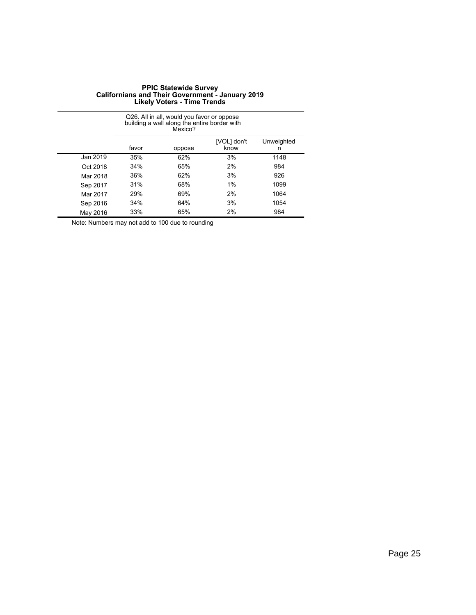|                                                           | Q26. All in all, would you favor or oppose<br>building a wall along the entire border with<br>Mexico? |     |    |      |  |
|-----------------------------------------------------------|-------------------------------------------------------------------------------------------------------|-----|----|------|--|
| [VOL] don't<br>Unweighted<br>favor<br>know<br>oppose<br>n |                                                                                                       |     |    |      |  |
| Jan 2019                                                  | 35%                                                                                                   | 62% | 3% | 1148 |  |
| Oct 2018                                                  | 34%                                                                                                   | 65% | 2% | 984  |  |
| Mar 2018                                                  | 36%                                                                                                   | 62% | 3% | 926  |  |
| Sep 2017                                                  | 31%                                                                                                   | 68% | 1% | 1099 |  |
| Mar 2017                                                  | 29%                                                                                                   | 69% | 2% | 1064 |  |
| Sep 2016                                                  | 34%                                                                                                   | 64% | 3% | 1054 |  |
| May 2016                                                  | 33%                                                                                                   | 65% | 2% | 984  |  |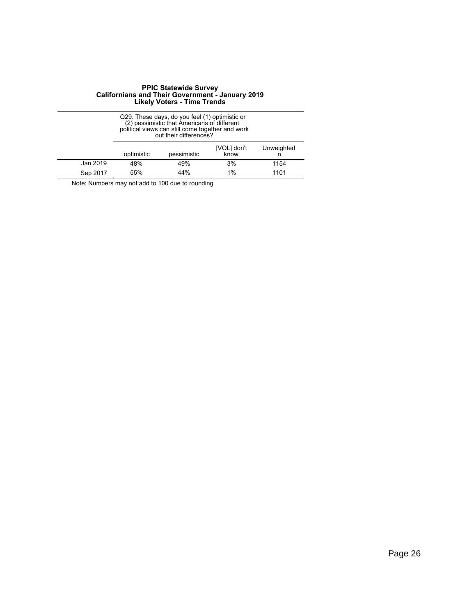|          | Q29. These days, do you feel (1) optimistic or<br>(2) pessimistic that Americans of different<br>political views can still come together and work<br>out their differences? |             |                     |            |  |
|----------|-----------------------------------------------------------------------------------------------------------------------------------------------------------------------------|-------------|---------------------|------------|--|
|          | optimistic                                                                                                                                                                  | pessimistic | [VOL] don't<br>know | Unweighted |  |
| Jan 2019 | 48%                                                                                                                                                                         | 49%         | 3%                  | 1154       |  |
| Sep 2017 | 55%                                                                                                                                                                         | 44%         | 1%                  | 1101       |  |